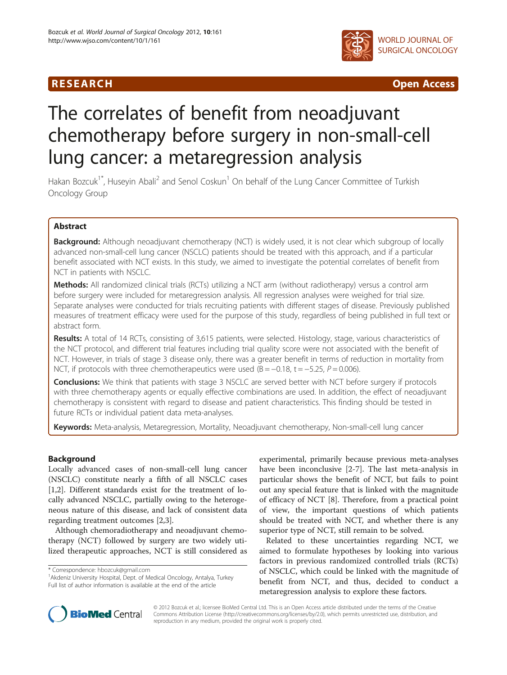

R E S EAR CH Open Access

# The correlates of benefit from neoadjuvant chemotherapy before surgery in non-small-cell lung cancer: a metaregression analysis

Hakan Bozcuk<sup>1\*</sup>, Huseyin Abali<sup>2</sup> and Senol Coskun<sup>1</sup> On behalf of the Lung Cancer Committee of Turkish Oncology Group

# Abstract

**Background:** Although neoadjuvant chemotherapy (NCT) is widely used, it is not clear which subgroup of locally advanced non-small-cell lung cancer (NSCLC) patients should be treated with this approach, and if a particular benefit associated with NCT exists. In this study, we aimed to investigate the potential correlates of benefit from NCT in patients with NSCLC.

Methods: All randomized clinical trials (RCTs) utilizing a NCT arm (without radiotherapy) versus a control arm before surgery were included for metaregression analysis. All regression analyses were weighed for trial size. Separate analyses were conducted for trials recruiting patients with different stages of disease. Previously published measures of treatment efficacy were used for the purpose of this study, regardless of being published in full text or abstract form.

Results: A total of 14 RCTs, consisting of 3,615 patients, were selected. Histology, stage, various characteristics of the NCT protocol, and different trial features including trial quality score were not associated with the benefit of NCT. However, in trials of stage 3 disease only, there was a greater benefit in terms of reduction in mortality from NCT, if protocols with three chemotherapeutics were used  $(B = -0.18, t = -5.25, P = 0.006)$ .

**Conclusions:** We think that patients with stage 3 NSCLC are served better with NCT before surgery if protocols with three chemotherapy agents or equally effective combinations are used. In addition, the effect of neoadjuvant chemotherapy is consistent with regard to disease and patient characteristics. This finding should be tested in future RCTs or individual patient data meta-analyses.

Keywords: Meta-analysis, Metaregression, Mortality, Neoadjuvant chemotherapy, Non-small-cell lung cancer

# Background

Locally advanced cases of non-small-cell lung cancer (NSCLC) constitute nearly a fifth of all NSCLC cases [[1,2\]](#page-4-0). Different standards exist for the treatment of locally advanced NSCLC, partially owing to the heterogeneous nature of this disease, and lack of consistent data regarding treatment outcomes [[2,3\]](#page-4-0).

Although chemoradiotherapy and neoadjuvant chemotherapy (NCT) followed by surgery are two widely utilized therapeutic approaches, NCT is still considered as

\* Correspondence: [hbozcuk@gmail.com](mailto:hbozcuk@gmail.com) <sup>1</sup>

<sup>1</sup> Akdeniz University Hospital, Dept. of Medical Oncology, Antalya, Turkey Full list of author information is available at the end of the article

experimental, primarily because previous meta-analyses have been inconclusive [\[2](#page-4-0)-[7\]](#page-5-0). The last meta-analysis in particular shows the benefit of NCT, but fails to point out any special feature that is linked with the magnitude of efficacy of NCT [[8](#page-5-0)]. Therefore, from a practical point of view, the important questions of which patients should be treated with NCT, and whether there is any superior type of NCT, still remain to be solved.

Related to these uncertainties regarding NCT, we aimed to formulate hypotheses by looking into various factors in previous randomized controlled trials (RCTs) of NSCLC, which could be linked with the magnitude of benefit from NCT, and thus, decided to conduct a metaregression analysis to explore these factors.



© 2012 Bozcuk et al.; licensee BioMed Central Ltd. This is an Open Access article distributed under the terms of the Creative Commons Attribution License [\(http://creativecommons.org/licenses/by/2.0\)](http://creativecommons.org/licenses/by/2.0), which permits unrestricted use, distribution, and reproduction in any medium, provided the original work is properly cited.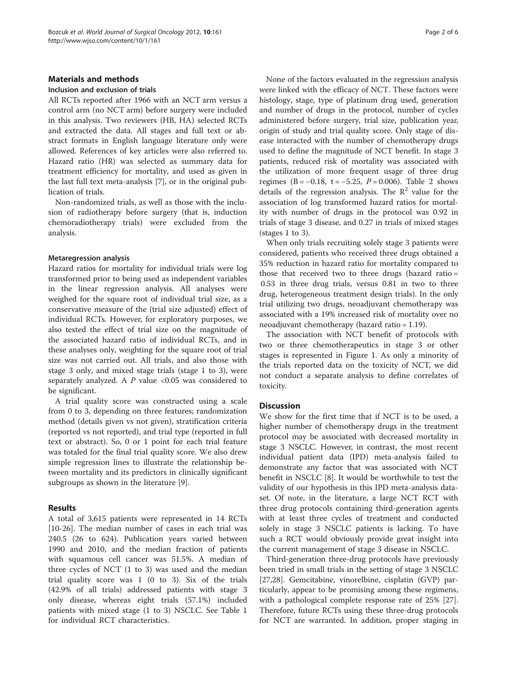### Materials and methods

## Inclusion and exclusion of trials

All RCTs reported after 1966 with an NCT arm versus a control arm (no NCT arm) before surgery were included in this analysis. Two reviewers (HB, HA) selected RCTs and extracted the data. All stages and full text or abstract formats in English language literature only were allowed. References of key articles were also referred to. Hazard ratio (HR) was selected as summary data for treatment efficiency for mortality, and used as given in the last full text meta-analysis [[7](#page-5-0)], or in the original publication of trials.

Non-randomized trials, as well as those with the inclusion of radiotherapy before surgery (that is, induction chemoradiotherapy trials) were excluded from the analysis.

#### Metaregression analysis

Hazard ratios for mortality for individual trials were log transformed prior to being used as independent variables in the linear regression analysis. All analyses were weighed for the square root of individual trial size, as a conservative measure of the (trial size adjusted) effect of individual RCTs. However, for exploratory purposes, we also tested the effect of trial size on the magnitude of the associated hazard ratio of individual RCTs, and in these analyses only, weighting for the square root of trial size was not carried out. All trials, and also those with stage 3 only, and mixed stage trials (stage 1 to 3), were separately analyzed. A  $P$  value <0.05 was considered to be significant.

A trial quality score was constructed using a scale from 0 to 3, depending on three features; randomization method (details given vs not given), stratification criteria (reported vs not reported), and trial type (reported in full text or abstract). So, 0 or 1 point for each trial feature was totaled for the final trial quality score. We also drew simple regression lines to illustrate the relationship between mortality and its predictors in clinically significant subgroups as shown in the literature [\[9](#page-5-0)].

### Results

A total of 3,615 patients were represented in 14 RCTs [[10-26](#page-5-0)]. The median number of cases in each trial was 240.5 (26 to 624). Publication years varied between 1990 and 2010, and the median fraction of patients with squamous cell cancer was 51.5%. A median of three cycles of NCT (1 to 3) was used and the median trial quality score was 1 (0 to 3). Six of the trials (42.9% of all trials) addressed patients with stage 3 only disease, whereas eight trials (57.1%) included patients with mixed stage (1 to 3) NSCLC. See Table [1](#page-2-0) for individual RCT characteristics.

None of the factors evaluated in the regression analysis were linked with the efficacy of NCT. These factors were histology, stage, type of platinum drug used, generation and number of drugs in the protocol, number of cycles administered before surgery, trial size, publication year, origin of study and trial quality score. Only stage of disease interacted with the number of chemotherapy drugs used to define the magnitude of NCT benefit. In stage 3 patients, reduced risk of mortality was associated with the utilization of more frequent usage of three drug regimes (B = −0.18, t = −5.25,  $P = 0.006$ ). Table [2](#page-3-0) shows details of the regression analysis. The  $\mathbb{R}^2$  value for the association of log transformed hazard ratios for mortality with number of drugs in the protocol was 0.92 in trials of stage 3 disease, and 0.27 in trials of mixed stages (stages 1 to 3).

When only trials recruiting solely stage 3 patients were considered, patients who received three drugs obtained a 35% reduction in hazard ratio for mortality compared to those that received two to three drugs (hazard ratio = 0.53 in three drug trials, versus 0.81 in two to three drug, heterogeneous treatment design trials). In the only trial utilizing two drugs, neoadjuvant chemotherapy was associated with a 19% increased risk of mortality over no neoadjuvant chemotherapy (hazard ratio = 1.19).

The association with NCT benefit of protocols with two or three chemotherapeutics in stage 3 or other stages is represented in Figure [1](#page-3-0). As only a minority of the trials reported data on the toxicity of NCT, we did not conduct a separate analysis to define correlates of toxicity.

# **Discussion**

We show for the first time that if NCT is to be used, a higher number of chemotherapy drugs in the treatment protocol may be associated with decreased mortality in stage 3 NSCLC. However, in contrast, the most recent individual patient data (IPD) meta-analysis failed to demonstrate any factor that was associated with NCT benefit in NSCLC [\[8](#page-5-0)]. It would be worthwhile to test the validity of our hypothesis in this IPD meta-analysis dataset. Of note, in the literature, a large NCT RCT with three drug protocols containing third-generation agents with at least three cycles of treatment and conducted solely in stage 3 NSCLC patients is lacking. To have such a RCT would obviously provide great insight into the current management of stage 3 disease in NSCLC.

Third-generation three-drug protocols have previously been tried in small trials in the setting of stage 3 NSCLC [[27,28\]](#page-5-0). Gemcitabine, vinorelbine, cisplatin (GVP) particularly, appear to be promising among these regimens, with a pathological complete response rate of 25% [\[27](#page-5-0)]. Therefore, future RCTs using these three-drug protocols for NCT are warranted. In addition, proper staging in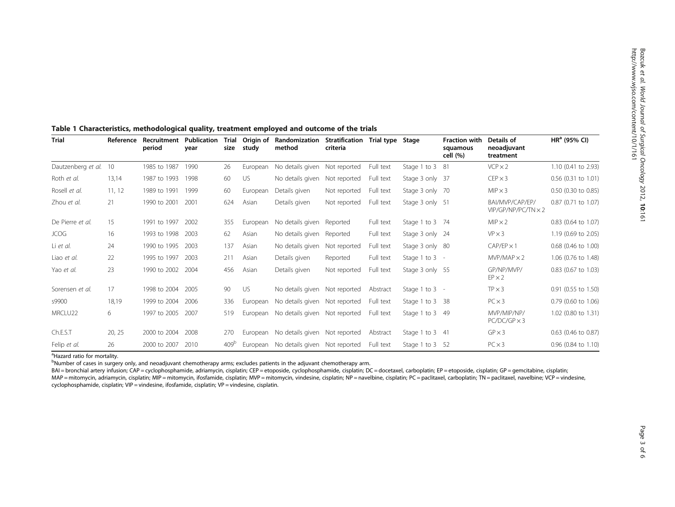| <b>Trial</b>       | Reference | Recruitment<br>period | <b>Publication</b><br>year | Trial<br>size    | Origin of<br>study | Randomization<br>method                | Stratification Trial type Stage<br>criteria |           |                  | <b>Fraction with</b><br>squamous<br>cell (%) | Details of<br>neoadjuvant<br>treatment        | $HRa$ (95% CI)        |
|--------------------|-----------|-----------------------|----------------------------|------------------|--------------------|----------------------------------------|---------------------------------------------|-----------|------------------|----------------------------------------------|-----------------------------------------------|-----------------------|
| Dautzenberg et al. | 10        | 1985 to 1987          | 1990                       | 26               | European           | No details given                       | Not reported                                | Full text | Stage 1 to 3 81  |                                              | $VCP \times 2$                                | 1.10 (0.41 to 2.93)   |
| Roth et al.        | 13,14     | 1987 to 1993          | 1998                       | 60               | US                 | No details given                       | Not reported                                | Full text | Stage 3 only 37  |                                              | $CEP \times 3$                                | 0.56 (0.31 to 1.01)   |
| Rosell et al.      | 11, 12    | 1989 to 1991          | 1999                       | 60               | European           | Details given                          | Not reported                                | Full text | Stage 3 only 70  |                                              | $MIP \times 3$                                | 0.50 (0.30 to 0.85)   |
| Zhou et al.        | 21        | 1990 to 2001          | 2001                       | 624              | Asian              | Details given                          | Not reported                                | Full text | Stage 3 only 51  |                                              | BAI/MVP/CAP/EP/<br>$VIP/GP/NP/PC/TN \times 2$ | 0.87 (0.71 to 1.07)   |
| De Pierre et al.   | 15        | 1991 to 1997          | 2002                       | 355              | European           | No details given                       | Reported                                    | Full text | Stage 1 to 3 74  |                                              | $MIP \times 2$                                | 0.83 (0.64 to 1.07)   |
| <b>JCOG</b>        | 16        | 1993 to 1998          | 2003                       | 62               | Asian              | No details given                       | Reported                                    | Full text | Stage 3 only 24  |                                              | $VP \times 3$                                 | 1.19 (0.69 to 2.05)   |
| Li et al.          | 24        | 1990 to 1995          | 2003                       | 137              | Asian              | No details given                       | Not reported                                | Full text | Stage 3 only 80  |                                              | $CAP/EP \times 1$                             | $0.68$ (0.46 to 1.00) |
| Liao et al.        | 22        | 1995 to 1997          | 2003                       | 211              | Asian              | Details given                          | Reported                                    | Full text | Stage 1 to $3 -$ |                                              | $MVP/MAP \times 2$                            | 1.06 (0.76 to 1.48)   |
| Yao et al.         | 23        | 1990 to 2002          | 2004                       | 456              | Asian              | Details given                          | Not reported                                | Full text | Stage 3 only 55  |                                              | GP/NP/MVP/<br>$EP \times 2$                   | 0.83 (0.67 to 1.03)   |
| Sorensen et al.    | 17        | 1998 to 2004          | 2005                       | 90               | US.                | No details given Not reported          |                                             | Abstract  | Stage 1 to $3 -$ |                                              | $TP \times 3$                                 | 0.91 (0.55 to 1.50)   |
| s9900              | 18,19     | 1999 to 2004          | 2006                       | 336              | European           | No details given                       | Not reported                                | Full text | Stage 1 to 3 38  |                                              | $PC \times 3$                                 | 0.79 (0.60 to 1.06)   |
| MRCLU22            | 6         | 1997 to 2005          | 2007                       | 519              | European           | No details given Not reported          |                                             | Full text | Stage 1 to 3 49  |                                              | MVP/MIP/NP/<br>$PC/DC/GP \times 3$            | 1.02 (0.80 to 1.31)   |
| Ch.E.S.T           | 20, 25    | 2000 to 2004          | 2008                       | 270              | European           | No details given Not reported          |                                             | Abstract  | Stage 1 to 3 41  |                                              | $GP \times 3$                                 | $0.63$ (0.46 to 0.87) |
| Felip et al.       | 26        | 2000 to 2007          | 2010                       | 409 <sup>b</sup> |                    | European No details given Not reported |                                             | Full text | Stage 1 to 3 52  |                                              | $PC \times 3$                                 | $0.96$ (0.84 to 1.10) |

### <span id="page-2-0"></span>Table 1 Characteristics, methodological quality, treatment employed and outcome of the trials

<sup>a</sup>Hazard ratio for mortality.

b Number of cases in surgery only, and neoadjuvant chemotherapy arms; excludes patients in the adjuvant chemotherapy arm.

BAI = bronchial artery infusion; CAP = cyclophosphamide, adriamycin, cisplatin; CEP = etoposide, cyclophosphamide, cisplatin; DC = docetaxel, carboplatin; EP = etoposide, cisplatin; GP = gemcitabine, cisplatin; MAP = mitomycin, adriamycin, cisplatin; MIP = mitomycin, ifosfamide, cisplatin; MVP = mitomycin, vindesine, cisplatin; NP = navelbine, cisplatin; PC = paclitaxel, carboplatin; TN = paclitaxel, navelbine; VCP = vindesine, cyclophosphamide, cisplatin; VIP = vindesine, ifosfamide, cisplatin; VP = vindesine, cisplatin.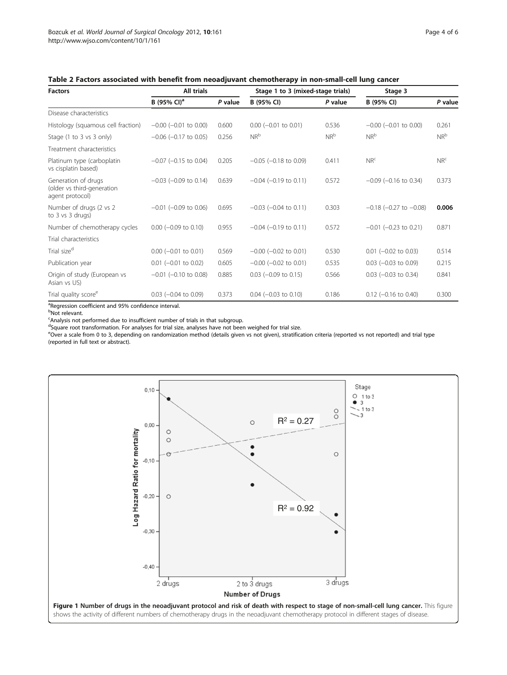| <b>Factors</b>                                                       | All trials                 |         | Stage 1 to 3 (mixed-stage trials) |         | Stage 3                        |                 |  |
|----------------------------------------------------------------------|----------------------------|---------|-----------------------------------|---------|--------------------------------|-----------------|--|
|                                                                      | B (95% CI) <sup>a</sup>    | P value | B (95% CI)                        | P value | B (95% CI)                     | P value         |  |
| Disease characteristics                                              |                            |         |                                   |         |                                |                 |  |
| Histology (squamous cell fraction)                                   | $-0.00$ ( $-0.01$ to 0.00) | 0.600   | $0.00$ ( $-0.01$ to 0.01)         | 0.536   | $-0.00$ ( $-0.01$ to 0.00)     | 0.261           |  |
| Stage (1 to 3 vs 3 only)                                             | $-0.06$ ( $-0.17$ to 0.05) | 0.256   | $NR^b$                            | $NR^b$  | $NR^b$                         | $NR^b$          |  |
| Treatment characteristics                                            |                            |         |                                   |         |                                |                 |  |
| Platinum type (carboplatin<br>vs cisplatin based)                    | $-0.07$ ( $-0.15$ to 0.04) | 0.205   | $-0.05$ ( $-0.18$ to 0.09)        | 0.411   | NR <sup>c</sup>                | NR <sup>c</sup> |  |
| Generation of drugs<br>(older vs third-generation<br>agent protocol) | $-0.03$ ( $-0.09$ to 0.14) | 0.639   | $-0.04$ ( $-0.19$ to 0.11)        | 0.572   | $-0.09$ ( $-0.16$ to 0.34)     | 0.373           |  |
| Number of drugs (2 vs 2<br>to 3 vs 3 drugs)                          | $-0.01$ ( $-0.09$ to 0.06) | 0.695   | $-0.03$ ( $-0.04$ to 0.11)        | 0.303   | $-0.18$ ( $-0.27$ to $-0.08$ ) | 0.006           |  |
| Number of chemotherapy cycles                                        | $0.00$ (-0.09 to 0.10)     | 0.955   | $-0.04$ ( $-0.19$ to 0.11)        | 0.572   | $-0.01$ ( $-0.23$ to 0.21)     | 0.871           |  |
| Trial characteristics                                                |                            |         |                                   |         |                                |                 |  |
| Trial size <sup>d</sup>                                              | $0.00$ (-0.01 to 0.01)     | 0.569   | $-0.00$ ( $-0.02$ to 0.01)        | 0.530   | $0.01$ (-0.02 to 0.03)         | 0.514           |  |
| Publication year                                                     | $0.01$ (-0.01 to 0.02)     | 0.605   | $-0.00$ ( $-0.02$ to 0.01)        | 0.535   | $0.03$ (-0.03 to 0.09)         | 0.215           |  |
| Origin of study (European vs<br>Asian vs US)                         | $-0.01$ ( $-0.10$ to 0.08) | 0.885   | $0.03$ (-0.09 to 0.15)            | 0.566   | $0.03$ (-0.03 to 0.34)         | 0.841           |  |
| Trial quality score <sup>e</sup>                                     | $0.03$ (-0.04 to 0.09)     | 0.373   | $0.04$ (-0.03 to 0.10)            | 0.186   | $0.12$ (-0.16 to 0.40)         | 0.300           |  |

<span id="page-3-0"></span>Table 2 Factors associated with benefit from neoadjuvant chemotherapy in non-small-cell lung cancer

<sup>a</sup>Regression coefficient and 95% confidence interval.

#### <sup>b</sup>Not relevant.

<sup>c</sup>Analysis not performed due to insufficient number of trials in that subgroup.<br><sup>d</sup>Square root transformation. For analyses for trial size, analyses have not been weighed for trial size.

e<br>Cover a scale from 0 to 3, depending on randomization method (details given vs not given), stratification criteria (reported vs not reported) and trial type (reported in full text or abstract).

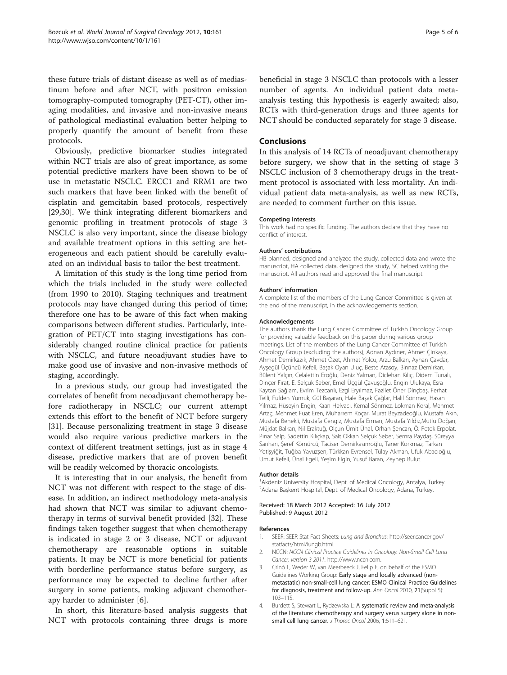<span id="page-4-0"></span>these future trials of distant disease as well as of mediastinum before and after NCT, with positron emission tomography-computed tomography (PET-CT), other imaging modalities, and invasive and non-invasive means of pathological mediastinal evaluation better helping to properly quantify the amount of benefit from these protocols.

Obviously, predictive biomarker studies integrated within NCT trials are also of great importance, as some potential predictive markers have been shown to be of use in metastatic NSCLC. ERCC1 and RRM1 are two such markers that have been linked with the benefit of cisplatin and gemcitabin based protocols, respectively [[29,30\]](#page-5-0). We think integrating different biomarkers and genomic profiling in treatment protocols of stage 3 NSCLC is also very important, since the disease biology and available treatment options in this setting are heterogeneous and each patient should be carefully evaluated on an individual basis to tailor the best treatment.

A limitation of this study is the long time period from which the trials included in the study were collected (from 1990 to 2010). Staging techniques and treatment protocols may have changed during this period of time; therefore one has to be aware of this fact when making comparisons between different studies. Particularly, integration of PET/CT into staging investigations has considerably changed routine clinical practice for patients with NSCLC, and future neoadjuvant studies have to make good use of invasive and non-invasive methods of staging, accordingly.

In a previous study, our group had investigated the correlates of benefit from neoadjuvant chemotherapy before radiotherapy in NSCLC; our current attempt extends this effort to the benefit of NCT before surgery [[31\]](#page-5-0). Because personalizing treatment in stage 3 disease would also require various predictive markers in the context of different treatment settings, just as in stage 4 disease, predictive markers that are of proven benefit will be readily welcomed by thoracic oncologists.

It is interesting that in our analysis, the benefit from NCT was not different with respect to the stage of disease. In addition, an indirect methodology meta-analysis had shown that NCT was similar to adjuvant chemotherapy in terms of survival benefit provided [[32\]](#page-5-0). These findings taken together suggest that when chemotherapy is indicated in stage 2 or 3 disease, NCT or adjuvant chemotherapy are reasonable options in suitable patients. It may be NCT is more beneficial for patients with borderline performance status before surgery, as performance may be expected to decline further after surgery in some patients, making adjuvant chemotherapy harder to administer [[6\]](#page-5-0).

In short, this literature-based analysis suggests that NCT with protocols containing three drugs is more

beneficial in stage 3 NSCLC than protocols with a lesser number of agents. An individual patient data metaanalysis testing this hypothesis is eagerly awaited; also, RCTs with third-generation drugs and three agents for NCT should be conducted separately for stage 3 disease.

# Conclusions

In this analysis of 14 RCTs of neoadjuvant chemotherapy before surgery, we show that in the setting of stage 3 NSCLC inclusion of 3 chemotherapy drugs in the treatment protocol is associated with less mortality. An individual patient data meta-analysis, as well as new RCTs, are needed to comment further on this issue.

#### Competing interests

This work had no specific funding. The authors declare that they have no conflict of interest.

#### Authors' contributions

HB planned, designed and analyzed the study, collected data and wrote the manuscript, HA collected data, designed the study, SC helped writing the manuscript. All authors read and approved the final manuscript.

#### Authors' information

A complete list of the members of the Lung Cancer Committee is given at the end of the manuscript, in the acknowledgements section.

#### Acknowledgements

The authors thank the Lung Cancer Committee of Turkish Oncology Group for providing valuable feedback on this paper during various group meetings. List of the members of the Lung Cancer Committee of Turkish Oncology Group (excluding the authors); Adnan Aydıner, Ahmet Çinkaya, Ahmet Demirkazık, Ahmet Özet, Ahmet Yolcu, Arzu Balkan, Ayhan Çavdar, Ayşegül Üçüncü Kefeli, Başak Oyan Uluç, Beste Atasoy, Binnaz Demirkan, Bülent Yalçın, Celalettin Eroğlu, Deniz Yalman, Diclehan Kılıç, Didem Tunalı, Dinçer Fırat, E. Selçuk Seber, Emel Üçgül Çavuşoğlu, Engin Ulukaya, Esra Kaytan Sağlam, Evrim Tezcanlı, Ezgi Eryılmaz, Fazilet Öner Dinçbaş, Ferhat Telli, Fulden Yumuk, Gül Başaran, Hale Başak Çağlar, Halil Sönmez, Hasan Yılmaz, Hüseyin Engin, Kaan Helvacı, Kemal Sönmez, Lokman Koral, Mehmet Artaç, Mehmet Fuat Eren, Muharrem Koçar, Murat Beyzadeoğlu, Mustafa Akın, Mustafa Benekli, Mustafa Cengiz, Mustafa Erman, Mustafa Yıldız,Mutlu Doğan, Müjdat Balkan, Nil Eraktuğ, Olçun Ümit Ünal, Orhan Şencan, Ö. Petek Erpolat, Pınar Saip, Sadettin Kılıçkap, Sait Okkan Selçuk Seber, Semra Paydaş, Süreyya Sarıhan, Şeref Kömürcü, Taciser Demirkasımoğlu, Taner Korkmaz, Tarkan Yetişyiğit, Tuğba Yavuzşen, Türkkan Evrensel, Tülay Akman, Ufuk Abacıoğlu, Umut Kefeli, Ünal Egeli, Yeşim Elgin, Yusuf Baran, Zeynep Bulut.

#### Author details

<sup>1</sup> Akdeniz University Hospital, Dept. of Medical Oncology, Antalya, Turkey. 2 Adana Başkent Hospital, Dept. of Medical Oncology, Adana, Turkey.

Received: 18 March 2012 Accepted: 16 July 2012 Published: 9 August 2012

#### References

- 1. SEER: SEER Stat Fact Sheets: Lung and Bronchus: [http://seer.cancer.gov/](http://seer.cancer.gov/statfacts/html/lungb.html) [statfacts/html/lungb.html.](http://seer.cancer.gov/statfacts/html/lungb.html)
- 2. NCCN: NCCN Clinical Practice Guidelines in Oncology. Non-Small Cell Lung Cancer, version 3 2011. http://www.nccn.com.
- 3. Crinò L, Weder W, van Meerbeeck J, Felip E, on behalf of the ESMO Guidelines Working Group: Early stage and locally advanced (nonmetastatic) non-small-cell lung cancer: ESMO Clinical Practice Guidelines for diagnosis, treatment and follow-up. Ann Oncol 2010, 21(Suppl 5): 103–115.
- 4. Burdett S, Stewart L, Rydzewska L: A systematic review and meta-analysis of the literature: chemotherapy and surgery verus surgery alone in nonsmall cell lung cancer. J Thorac Oncol 2006, 1:611-621.